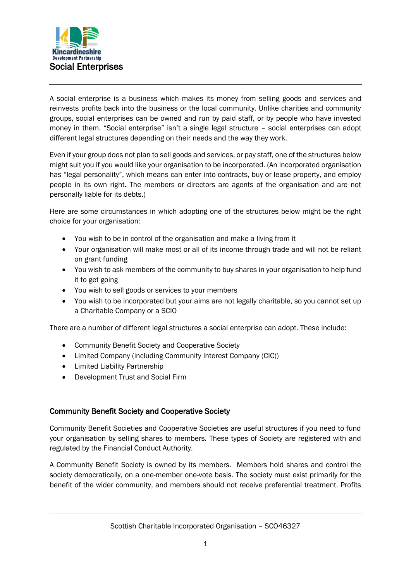

A social enterprise is a business which makes its money from selling goods and services and reinvests profits back into the business or the local community. Unlike charities and community groups, social enterprises can be owned and run by paid staff, or by people who have invested money in them. "Social enterprise" isn't a single legal structure – social enterprises can adopt different legal structures depending on their needs and the way they work.

Even if your group does not plan to sell goods and services, or pay staff, one of the structures below might suit you if you would like your organisation to be incorporated. (An incorporated organisation has "legal personality", which means can enter into contracts, buy or lease property, and employ people in its own right. The members or directors are agents of the organisation and are not personally liable for its debts.)

Here are some circumstances in which adopting one of the structures below might be the right choice for your organisation:

- You wish to be in control of the organisation and make a living from it
- Your organisation will make most or all of its income through trade and will not be reliant on grant funding
- You wish to ask members of the community to buy shares in your organisation to help fund it to get going
- You wish to sell goods or services to your members
- You wish to be incorporated but your aims are not legally charitable, so you cannot set up a Charitable Company or a SCIO

There are a number of different legal structures a social enterprise can adopt. These include:

- Community Benefit Society and Cooperative Society
- Limited Company (including Community Interest Company (CIC))
- Limited Liability Partnership
- Development Trust and Social Firm

## Community Benefit Society and Cooperative Society

Community Benefit Societies and Cooperative Societies are useful structures if you need to fund your organisation by selling shares to members. These types of Society are registered with and regulated by the Financial Conduct Authority.

A Community Benefit Society is owned by its members. Members hold shares and control the society democratically, on a one-member one-vote basis. The society must exist primarily for the benefit of the wider community, and members should not receive preferential treatment. Profits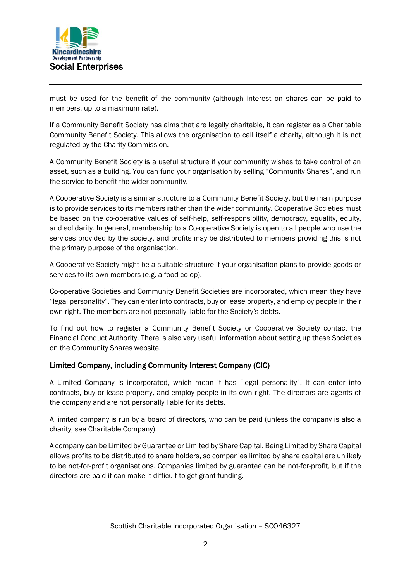

must be used for the benefit of the community (although interest on shares can be paid to members, up to a maximum rate).

If a Community Benefit Society has aims that are legally charitable, it can register as a Charitable Community Benefit Society. This allows the organisation to call itself a charity, although it is not regulated by the Charity Commission.

A Community Benefit Society is a useful structure if your community wishes to take control of an asset, such as a building. You can fund your organisation by selling "Community Shares", and run the service to benefit the wider community.

A Cooperative Society is a similar structure to a Community Benefit Society, but the main purpose is to provide services to its members rather than the wider community. Cooperative Societies must be based on the co-operative values of self-help, self-responsibility, democracy, equality, equity, and solidarity. In general, membership to a Co-operative Society is open to all people who use the services provided by the society, and profits may be distributed to members providing this is not the primary purpose of the organisation.

A Cooperative Society might be a suitable structure if your organisation plans to provide goods or services to its own members (e.g. a food co-op).

Co-operative Societies and Community Benefit Societies are incorporated, which mean they have "legal personality". They can enter into contracts, buy or lease property, and employ people in their own right. The members are not personally liable for the Society's debts.

To find out how to register a Community Benefit Society or Cooperative Society contact the Financial Conduct Authority. There is also very useful information about setting up these Societies on the Community Shares website.

## Limited Company, including Community Interest Company (CIC)

A Limited Company is incorporated, which mean it has "legal personality". It can enter into contracts, buy or lease property, and employ people in its own right. The directors are agents of the company and are not personally liable for its debts.

A limited company is run by a board of directors, who can be paid (unless the company is also a charity, see Charitable Company).

A company can be Limited by Guarantee or Limited by Share Capital. Being Limited by Share Capital allows profits to be distributed to share holders, so companies limited by share capital are unlikely to be not-for-profit organisations. Companies limited by guarantee can be not-for-profit, but if the directors are paid it can make it difficult to get grant funding.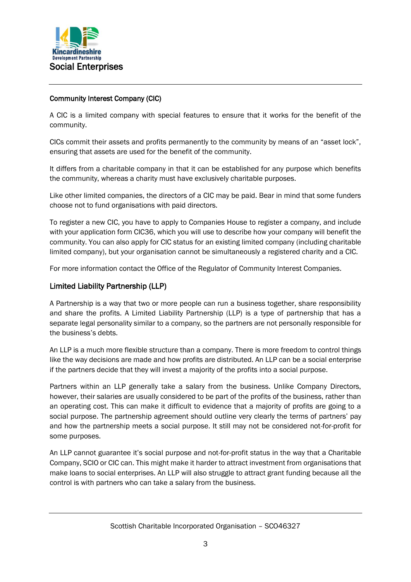

## Community Interest Company (CIC)

A CIC is a limited company with special features to ensure that it works for the benefit of the community.

CICs commit their assets and profits permanently to the community by means of an "asset lock", ensuring that assets are used for the benefit of the community.

It differs from a charitable company in that it can be established for any purpose which benefits the community, whereas a charity must have exclusively charitable purposes.

Like other limited companies, the directors of a CIC may be paid. Bear in mind that some funders choose not to fund organisations with paid directors.

To register a new CIC, you have to apply to Companies House to register a company, and include with your application form CIC36, which you will use to describe how your company will benefit the community. You can also apply for CIC status for an existing limited company (including charitable limited company), but your organisation cannot be simultaneously a registered charity and a CIC.

For more information contact the Office of the Regulator of Community Interest Companies.

## Limited Liability Partnership (LLP)

A Partnership is a way that two or more people can run a business together, share responsibility and share the profits. A Limited Liability Partnership (LLP) is a type of partnership that has a separate legal personality similar to a company, so the partners are not personally responsible for the business's debts.

An LLP is a much more flexible structure than a company. There is more freedom to control things like the way decisions are made and how profits are distributed. An LLP can be a social enterprise if the partners decide that they will invest a majority of the profits into a social purpose.

Partners within an LLP generally take a salary from the business. Unlike Company Directors, however, their salaries are usually considered to be part of the profits of the business, rather than an operating cost. This can make it difficult to evidence that a majority of profits are going to a social purpose. The partnership agreement should outline very clearly the terms of partners' pay and how the partnership meets a social purpose. It still may not be considered not-for-profit for some purposes.

An LLP cannot guarantee it's social purpose and not-for-profit status in the way that a Charitable Company, SCIO or CIC can. This might make it harder to attract investment from organisations that make loans to social enterprises. An LLP will also struggle to attract grant funding because all the control is with partners who can take a salary from the business.